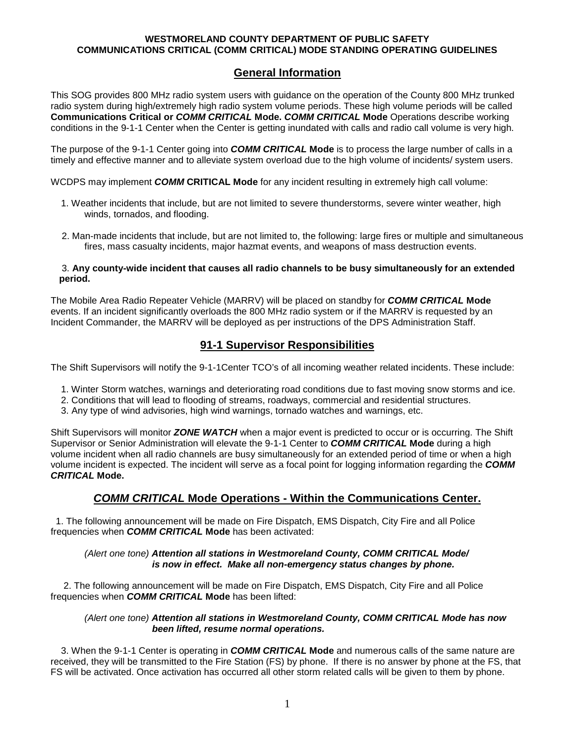### **WESTMORELAND COUNTY DEPARTMENT OF PUBLIC SAFETY COMMUNICATIONS CRITICAL (COMM CRITICAL) MODE STANDING OPERATING GUIDELINES**

# **General Information**

This SOG provides 800 MHz radio system users with guidance on the operation of the County 800 MHz trunked radio system during high/extremely high radio system volume periods. These high volume periods will be called **Communications Critical or** *COMM CRITICAL* **Mode.** *COMM CRITICAL* **Mode** Operations describe working conditions in the 9-1-1 Center when the Center is getting inundated with calls and radio call volume is very high.

The purpose of the 9-1-1 Center going into *COMM CRITICAL* **Mode** is to process the large number of calls in a timely and effective manner and to alleviate system overload due to the high volume of incidents/ system users.

WCDPS may implement *COMM* **CRITICAL Mode** for any incident resulting in extremely high call volume:

- 1. Weather incidents that include, but are not limited to severe thunderstorms, severe winter weather, high winds, tornados, and flooding.
- 2. Man-made incidents that include, but are not limited to, the following: large fires or multiple and simultaneous fires, mass casualty incidents, major hazmat events, and weapons of mass destruction events.

### 3. **Any county-wide incident that causes all radio channels to be busy simultaneously for an extended period.**

The Mobile Area Radio Repeater Vehicle (MARRV) will be placed on standby for *COMM CRITICAL* **Mode** events. If an incident significantly overloads the 800 MHz radio system or if the MARRV is requested by an Incident Commander, the MARRV will be deployed as per instructions of the DPS Administration Staff.

# **91-1 Supervisor Responsibilities**

The Shift Supervisors will notify the 9-1-1Center TCO's of all incoming weather related incidents. These include:

- 1. Winter Storm watches, warnings and deteriorating road conditions due to fast moving snow storms and ice.
- 2. Conditions that will lead to flooding of streams, roadways, commercial and residential structures.
- 3. Any type of wind advisories, high wind warnings, tornado watches and warnings, etc.

Shift Supervisors will monitor *ZONE WATCH* when a major event is predicted to occur or is occurring. The Shift Supervisor or Senior Administration will elevate the 9-1-1 Center to *COMM CRITICAL* **Mode** during a high volume incident when all radio channels are busy simultaneously for an extended period of time or when a high volume incident is expected. The incident will serve as a focal point for logging information regarding the *COMM CRITICAL* **Mode.**

# *COMM CRITICAL* **Mode Operations - Within the Communications Center.**

 1. The following announcement will be made on Fire Dispatch, EMS Dispatch, City Fire and all Police frequencies when *COMM CRITICAL* **Mode** has been activated:

### *(Alert one tone) Attention all stations in Westmoreland County, COMM CRITICAL Mode/ is now in effect. Make all non-emergency status changes by phone.*

 2. The following announcement will be made on Fire Dispatch, EMS Dispatch, City Fire and all Police frequencies when *COMM CRITICAL* **Mode** has been lifted:

#### *(Alert one tone) Attention all stations in Westmoreland County, COMM CRITICAL Mode has now been lifted, resume normal operations.*

 3. When the 9-1-1 Center is operating in *COMM CRITICAL* **Mode** and numerous calls of the same nature are received, they will be transmitted to the Fire Station (FS) by phone. If there is no answer by phone at the FS, that FS will be activated. Once activation has occurred all other storm related calls will be given to them by phone.